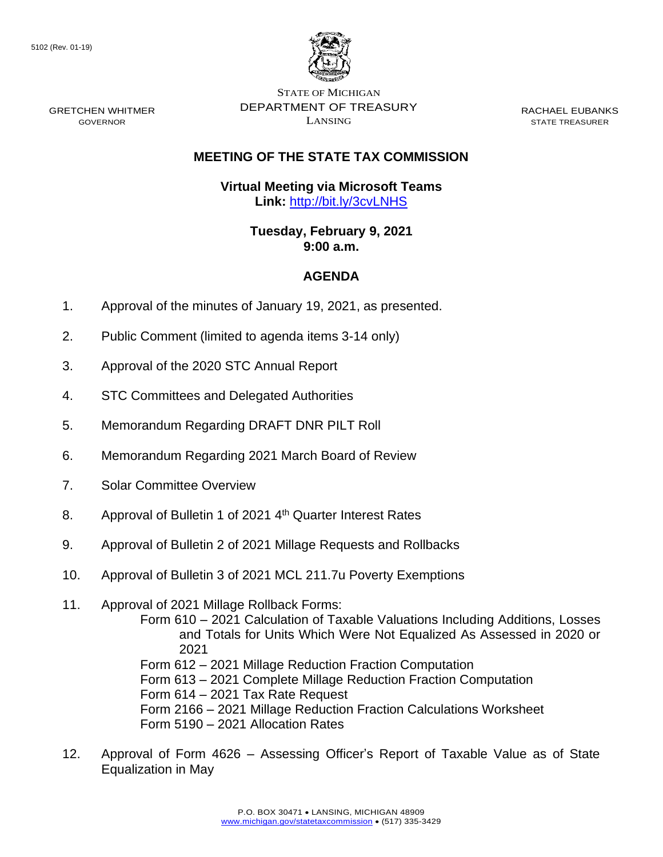

STATE OF MICHIGAN DEPARTMENT OF TREASURY LANSING

RACHAEL EUBANKS STATE TREASURER

## **MEETING OF THE STATE TAX COMMISSION**

**Virtual Meeting via Microsoft Teams Link:** [http://bit.ly/3cvLNHS](https://gcc02.safelinks.protection.outlook.com/?url=http%3A%2F%2Fbit.ly%2F3cvLNHS&data=04%7C01%7CDensteadtL%40michigan.gov%7Cb3a194fd87b2484a10d808d8c6eb0517%7Cd5fb7087377742ad966a892ef47225d1%7C0%7C0%7C637478059987035978%7CUnknown%7CTWFpbGZsb3d8eyJWIjoiMC4wLjAwMDAiLCJQIjoiV2luMzIiLCJBTiI6Ik1haWwiLCJXVCI6Mn0%3D%7C1000&sdata=2PFQY%2F3bmPjn6qXTJ%2FFyA%2BAwxroSqYu7ZKN5T5tK%2Bds%3D&reserved=0)

> **Tuesday, February 9, 2021 9:00 a.m.**

## **AGENDA**

- 1. Approval of the minutes of January 19, 2021, as presented.
- 2. Public Comment (limited to agenda items 3-14 only)
- 3. Approval of the 2020 STC Annual Report
- 4. STC Committees and Delegated Authorities
- 5. Memorandum Regarding DRAFT DNR PILT Roll
- 6. Memorandum Regarding 2021 March Board of Review
- 7. Solar Committee Overview
- 8. Approval of Bulletin 1 of 2021 4<sup>th</sup> Quarter Interest Rates
- 9. Approval of Bulletin 2 of 2021 Millage Requests and Rollbacks
- 10. Approval of Bulletin 3 of 2021 MCL 211.7u Poverty Exemptions
- 11. Approval of 2021 Millage Rollback Forms: Form 610 – 2021 Calculation of Taxable Valuations Including Additions, Losses and Totals for Units Which Were Not Equalized As Assessed in 2020 or 2021 Form 612 – 2021 Millage Reduction Fraction Computation Form 613 – 2021 Complete Millage Reduction Fraction Computation Form 614 – 2021 Tax Rate Request Form 2166 – 2021 Millage Reduction Fraction Calculations Worksheet Form 5190 – 2021 Allocation Rates
- 12. Approval of Form 4626 Assessing Officer's Report of Taxable Value as of State Equalization in May

GRETCHEN WHITMER GOVERNOR